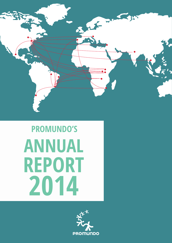

# **PROMUNDO'S ANNUAL REPORT 2014**

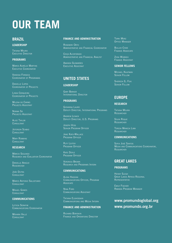# **OUR TEAM**

# **BraZIl**

## **Leadership**

Tatiana Moura EXECUTIVE DIRECTOR

### **Programs**

Marco Aurélio Martins Executive Coordinator

Vanessa Fonseca Coordinator of Programas

Danielle Lopes COORDINATOR OF PROJECTS

Linda Cerqueira COORDINATOR OF PROJECTS

Milena do Carmo PROJECTS ASSISTANT

Norma Sá PROJECTS ASSISTANT

ALICE TAYLOR **CONSULTANT** 

**JEFERSON SCARIO CONSULTANT** 

MARY ROBBINS **CONSULTANT** 

## **Research**

MÁRCIO SEGUNDO Research and Evaluation Coordinator

Danielle Araújo **RESEARCHER** 

João Dutra **CONSULTANT** 

Marco Antonio Salustiano **CONSULTANT** 

MIGUEL GOMES **CONSULTANT** 

### **Communications**

Leticia Serafim Communications Coordinator

Mohara Valle **CONSULTANT** 

#### **Finance and Administration**

Rosemeri Orth Administrative and Financial Coordinator

Ceiça Alcoforado Administrative and Financial Analyst

Amanda Guimarães Executive Assistant

# **UNITED STATES**

#### **Leadership**

Gary Barker INTERNATIONAL DIRECTOR

#### **Programs**

Giovanna Lauro Deputy Director, International Programs

ANDREW LEVACK Deputy Director, U.S. Programs

Joseph Vess Senior Program Officer

JANE KATO-WALLACE Program Officer

Ruti Levtov PROGRAM OFFICER

**KATE DOYLE** PROGRAM OFFICER

Veronica Brown Research and Programs Intern

#### **Communications**

Alexa Hassink Communications Officer, Program **Associate** 

Nina Ford Communications Assistant

Tatiana Elghossain Communications and Media Intern

### **Finance and Administration**

Richard Boriskin Finance and Operations Director Terri Merz **OFFICE MANAGER** 

Bullaii Cisse Finance Associate

ZENA WUBNEH Finance Assistant

#### **Senior Fellows**

Michael Kaufman SENIOR FELLOW

Shereen El Feki Senior Fellow

# **EUROPE**

### **Research**

Tatiana Moura Researcher

Sílvia Roque Researcher

Teresa Maneca Lima **RESEARCHER** 

### **Communications**

Sofia José Santos Media and Communications Coordinator, Researcher

## **GREAT LAKES**

#### **Programs**

Henny Slegh Great Lakes Africa Regional Representative

Emily Fischer Rwanda Program Manager

# www.promundoglobal.org www.promundo.org.br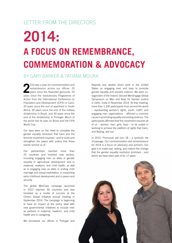# Letter from the Directors

# **2014: A Focus on Remembrance, Commemoration & Advocacy**

# By Gary Barker & Tatiana Moura

**2** 014 was a year for commemoration and remembrance across our offices: 20 vears since the Rwandan genocide, 20 years since the revolutionary Programme of Action from the International Conference on Population and Development (ICPD) in Cairo, 20 years since the end of apartheid in South Africa, 30 years since the end of the military dictatorship in Brazil, and 40 years since the end of the dictatorship in Portugal. Much of the world had its eyes on Brazil and the FIFA World Cup.

Our eyes were on the need to complete the gender equality revolution that Cairo and the feminist movement inspired—and to build and strengthen the peace with justice that these events remind us of.

Our partnerships reached more than 20 countries and involved new sectors, including engaging men as allies in gender equality in agricultural development and in maternal, newborn, and child health, as well as in engaging men as allies in ending child marriage and sexual exploitation, in supporting early childhood development and in peace and security.

The global MenCare campaign launched in 2012 reached 30 countries and was heralded as a model of success at the Clinton Global Initiative annual meeting in September 2014. The campaign is beginning to have an impact at the policy level with new governmental initiatives to include men as partners in maternal, newborn, and child health and in caregiving.

We formalized our offices in Portugal and

Rwanda and started direct work in the United States on engaging men and boys to promote gender equality and prevent violence. We were coorganizers of the historic Second MenEngage Global Symposium on Men and Boys for Gender Justice in Delhi, India in November 2014. At that meeting, more than 1,100 participants from around the world – representing women's rights, youth, LGBT, and engaging men organizations – affirmed a common cause in promoting equality and ending violence. The participants affirmed that this movement requires all of us – women, men, girls, boys – to be united in working to achieve the platform of rights that Cairo, and Beijing, laid out.

In 2015, Promundo will turn 18 – a symbolic rite of passage. Our commemoration and remembrance for 2014 is a focus on advocacy and activism. Our goal is to make real, lasting, and mature the change that the gender equality revolution promises – and which we have been part of for 17 years.

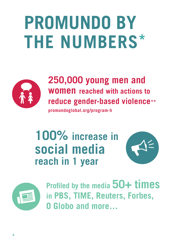# **PROMUNDO BY THE NUMBERS\***



# **250,000 young men and women reached with actions to reduce gender-based violence\*\***

**promundoglobal.org/program-h**

# **100% increase in social media reach in 1 year**





**Profiled by the media 50+ times in PBS, TIME, Reuters, Forbes, O Globo and more…**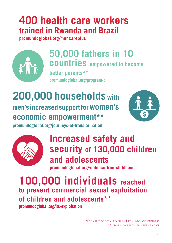# **400 health care workers trained in Rwanda and Brazil**

**promundoglobal.org/mencareplus**



**50,000 fathers in 10 countries empowered to become better parents\*\* promundoglobal.org/program-p**

# **200,000 households with men's increased support for women's economic empowerment\*\***



**promundoglobal.org/journeys-of-transformation**



# **Increased safety and security of 130,000 children and adolescents**

**promundoglobal.org/violence-free-childhood**

**100,000 individuals reached to prevent commercial sexual exploitation of children and adolescents\*\* promundoglobal.org/its-exploitation**

> \*Estimates of total reach by Promundo and partners \*\*Promundo's total numbers to date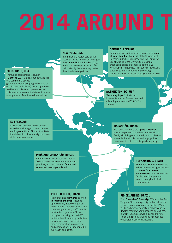# **2014 AROUND T**

### **PITTSBURGH, USA**

Promundo collaborated to launch "Manhood 2.0." a cluster-randomized trial of a community-based,

gender-transformative program (based on our Program H initiative) that will promote healthy masculinity and prevent sexual violence and adolescent relationship abuse among African American adolescent men.

#### **NEW YORK, USA**

International Director Gary Barker spoke at the 2014 Annual Meeting of the Clinton Global Initiative (CGI), asking private corporations to offer paid paternity leave as a key part of their family leave policies.

### **COIMBRA, PORTUGAL**

Promundo opened its doors in Europe with a new office in Coimbra, Portugal, at the University of Coimbra. In 2014, Promundo and the Center for Social Studies of the University of Coimbra organized a series of gender-transformative workshops in Portuguese high schools, sensitizing students to the importance of preventing gender-based violence and engaging men as allies.

### **WASHINGTON, DC, USA**

"Becoming Papa," a half-hour documentary about Promundo's work in Brazil, premiered on PBS-To The **Contrary** 

#### **EL SALVADOR**

In El Salavor, Promundo conducted workshops with high schools students on **Programs H and M**, and it facilitated the elaboration of a campaign to prevent violence against women.

#### **PARÁ AND MARANHÃO, BRAZIL**

Promundo conducted field research in 2014 to better understand the attitudes practices, and implications of child and adolescent marriages in Brazil.

## **MARANHÃO, BRAZIL**

Promundo launched the Agent M Manual, created in partnership with Plan International Brazil, which is geared toward youth facilitators to enable them to discuss and engage their peers in actions to promote gender equality.

#### **PERNAMBUCO, BRAZIL**

Promundo, with Instituto Papai, led awareness-raising workshops on women's economic empowerment in urban areas of Recife, mobilizing men and women through a football championship.

#### **RIO DE JANEIRO, BRAZIL**

Promundo and MenCare+ partners in Rwanda and Brazil reached approximately 3,500 young men and women in group education and community activism, 2,300 couples in fatherhood groups, 429 men through counseling, and 40,000 individuals with campaign initiatives on gender equality, increasing men's participation in caregiving and achieving sexual and reproductive health and rights.

#### **RIO DE JANEIRO, BRAZIL**

The "Shameless" Campaign ("Campanha Sem Vergonha") encourages high school students to question norms around sexuality, HIV and AIDS, and gender equality in schools and to develop their own youth-inspired campaigns. In 2014, Shameless was expanded to new schools in Rio de Janeiro and has reached 9,000 students since its launch.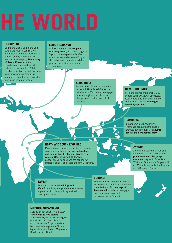# **HE WORLD**

#### **LONDON, UK**

During the Global Summit to End Sexual Violence in Conflict, the International Center for Research on Women (ICRW) and Promundo released a new report, *The Making of Sexual Violence*, on the prevalence of rape and sexual violence in five countries (Chile, Croatia, India, Mexico and Rwanda) as an advocacy tool for raising awareness about the need to include men in violence prevention.

#### **BEIRUT, LEBANON**

With support from the *inaugural* Womanity Award, Promundo began a 3-year partnership with ABAAD to adapt, deploy, and evaluate Program H in Lebanon to promote equitable gender norms with young men in refugee camps.

## **AGRA, INDIA**

Promundo led formative research to develop *A More Equal Future*, an initiative with World Vision to engage fathers, daughters, and families to change norms that support child marriage.

## **NEW DELHI, INDIA**

Promundo joined more than 1,200 gender equality experts, advocates, researchers, and individuals from 94 countries for the 2nd MenEngage Global Symposium.

#### **CAMBODIA**

In partnership with WorldFish, Promundo conducted trainings to promote gender equality in aquatic agricultural development work.

#### **NORTH AND SOUTH KIVU, DRC**

Promundo and Sonke Gender Justice released complete results from the International Men and Gender Equality Survey (IMAGES) in eastern DRC, revealing high levels of gender-based violence and the continuing effects of conflict on couple and family relations.

## **RWANDA**

More than 3,000 young men and women aged 18-24 participated in gender-transformative group education adapted in Rwanda in 2014 from Promundo's Programs H and M, implemented by the Rwanda Men's Resource Center.

#### **ZAMBIA**

Promundo conducted **trainings with** WorldFish to integrate gender-transformative approaches into its aquatic agricultural development work.

#### **MAPUTO, MOZAMBIQUE**

Data collection began for the study *Trajectories of Non-Violent Masculinities*, which will investigate how violent and non-violent masculinities are forged – and can be prevented - in post-conflict and high-violence contexts in Maputo and Rio de Janeiro, Brazil

#### **BURUNDI**

Promundo received funding from the World Bank to conduct a randomized controlled trial of its Journeys of **Transformation** initiative to engage men in women's economic empowerment in Burundi.

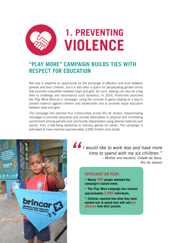

# **"Play More" Campaign Builds Ties with Respect for Education**

Not only is playtime an opportunity for the exchange of affection and trust between parents and their children, but it is also often a space for perpetuating gender norms that promote inequalities between boys and girls. As such, playing can also be a key time to challenge and deconstruct such dynamics. In 2014, Promundo launched the *Play More* (Brincar+) campaign, using the concept of game playing as a way to prevent violence against children and adolescents and to promote equal education between boys and girls.

The campaign has reached four communities across Rio de Janeiro, disseminating messages to promote education and provide alternatives to physical and humiliating punishment among parents and community stakeholders using diverse materials and events, from a kite-flying workshop to memory games for adults. The campaign is estimated to have reached approximately 2,000 children and adults.



*I would like to work less and have more time to spend with my six children." – Mother and resident, Cidade de Deus, Rio de Janeiro*

# **SPOTLIGHT ON PLAY:**

- **Nearly 400 people attended the campaign's launch event.**
- **The** *Play More* **campaign has reached approximately 2,000 individuals.**
- **Children reported that what they most wanted was to spend time with and get affection from their parents.**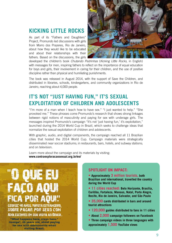# **Kicking Little Rocks**

As part of its "Fathers and Daughters" Project, Promundo led discussions with girls from Morro dos Prazeres, Rio de Janeiro, about how they would like to be educated and about their relationships with their fathers. Based on the discussions, the girls



developed the children's book *Chutando Pedrinhas* (*Kicking Little Rocks*, in English) with messages for men, inspiring fathers to reflect on the importance of equal education for boys and girls, their involvement in caring for their children, and the use of positive discipline rather than physical and humiliating punishments.

The book was released in August 2014, with the support of Save the Children, and distributed in libraries, schools, kindergartens, and community organizations in Rio de Janeiro, reaching about 4,000 people.

# **It's Not "Just Having Fun," It's Sexual Exploitation of Children and Adolescents**

"I'm more of a man when I teach how to have sex." "I just wanted to help." "She provoked me." These phrases come Promundo's research that shows strong linkages between rigid notions of masculinity and paying for sex with underage girls. The messages inspired Promundo's campaign "It's not 'just having fun,' it's exploitation," launched during the 2014 World Cup in Brazil, which seeks to challenge ideas that normalize the sexual exploitation of children and adolescents.

With graphic, audio, and digital components, the campaign reached all 11 Brazilian cities that hosted the 2014 World Cup. Campaign materials were strategically disseminated near soccer stadiums; in restaurants, bars, hotels, and subway stations; and on television.

Learn more about the campaign and its materials by visiting: **www.contraexploracaosexual.org.br/en/**

# FAI GEORGE\* 46 ANDS, TURISTA ESTRANGEIRO

SOBRE PAGAR POR SEXO COM ADOI ESCENTES EM SUA VISITA AO BRASIL

"What happens here, stays here." George\*, 46 years old, about paying for sex with adolescents when **visiting Brazil.** 

# **SPOTLIGHT ON IMPACT:**

**• Approximately 3 million tourists, both Brazilian and international, travelled the country during the World Cup**

**• 11 cities reached: Belo Horizonte, Brasília, Curitiba, Fortaleza, Manaus, Natal, Porto Alegre, Recife, Rio de Janeiro, Salvador, and São Paulo**

**• 35,000 cards distributed in bars and around tourist attractions**

- **120,000 guides distributed to fans in 11 cities**
- **About 2,000 campaign followers on Facebook**
- **Three campaign videos in three languages with approximately 1,500 YouTube views**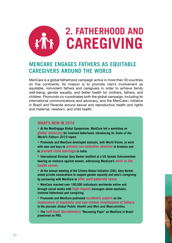

# **MenCare Engages Fathers as Equitable Caregivers Around the World**

MenCare is a global fatherhood campaign active in more than 30 countries on five continents. Its mission is to promote men's involvement as equitable, nonviolent fathers and caregivers in order to achieve family well-being, gender equality, and better health for mothers, fathers, and children. Promundo co-coordinates both the global campaign, including its international communications and advocacy, and the MenCare+ initiative in Brazil and Rwanda around sexual and reproductive health and rights and maternal, newborn, and child health.

# **WHAT'S NEW IN 2014**

**• At the MenEngage Global Symposium, MenCare led a workshop on global advocacy for involved fatherhood, introducing its** *State of the World's Fathers 2015* **report.**

**• Promundo and MenCare developed manuals, with World Vision, to work with men and boys to prevent sex-selective abortion in Armenia and to prevent child marriage in India.**

**• International Director Gary Barker testified at a US Senate Subcommittee hearing on violence against women, addressing MenCare's work in the health sector.**

**• At the annual meeting of the Clinton Global Initiative (CGI), Gary Barker asked private corporations to support gender equality and men's caregiving by partnering with MenCare to offer paid paternity leave.**

**• MenCare reached over 100,000 individuals worldwide online and through social media with high-impact messages about equitable, involved fatherhood and caregiving.**

**• Promundo and MenCare published academic papers on the importance of equitable and non-violent involvement of fathers in the journals** *Global Public Health and Men and Masculinities***.**

**• The half-hour documentary "Becoming Papa" on MenCare in Brazil premiered on PBS.**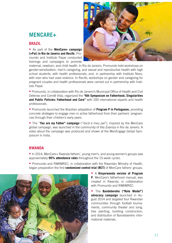# **mencare+**

# **BRAZIL**

• As part of the **MenCare+ campaign (+Pai) in Rio de Janeiro and Recife**, Promundo and Instituto Papai conducted trainings and campaigns to promote



maternal, newborn, and child health. In Rio de Janeiro, Promundo held workshops on gender-sensitization, men's caregiving, and sexual and reproductive health with high school students; with health professionals; and, in partnership with Instituto Noos, with men who had used violence. In Recife, workshops on gender and caregiving for pregnant couples and health professionals were carried out in partnership with Instituto Papai.

• Promundo, in collaboration with Rio de Janeiro's Municipal Office of Health and Civil Defense and Comitê Vida, organized the **"6th Symposium on Fatherhood, Singularities and Public Policies: Fatherhood and Care"** with 200 international experts and health professionals.

• Promundo launched the Brazilian adaptation of **Program P in Portuguese,** providing concrete strategies to engage men in active fatherhood from their partners' pregnancies through their children's early years.

• The "**You are my Father" campaign** ("*Você é meu pai*"), inspired by the MenCare global campaign, was launched in the community of Vila Zoaniza in Rio de Janeiro. A video about the campaign was produced and shown at the MenEngage Global Symposium in India.

# **RWANDA**

• In 2014, MenCare+ Rwanda fathers', young men's, and young women's groups saw approximately **95% attendance rates** throughout the 15-week cycles.

• Promundo and RWAMREC, in collaboration with the Rwandan Ministry of Health, began preparation the first **randomized control trial (RCT)** of MenCare fathers' groups.



• A **Kinyarwanda version of Program P**, MenCare's fatherhood manual, was created in Rwanda, in collaboration with Promundo and RWAMREC.

• The **Bandebereho ("Role Model") advocacy campaign** launched in August 2014 and targeted four Rwandan communities through football tournaments, community theater and song, tree planting, building construction, and distribution of Bandebereho informational materials.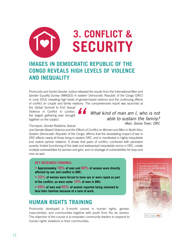# **3. CONFLICT &**  19 **SECURITY**

# **IMAGES in Democratic Republic of the Congo Reveals High Levels of Violence and Inequality**

Promundo and Sonke Gender Justice released the results from the International Men and Gender Equality Survey (IMAGES) in eastern Democratic Republic of the Congo (DRC) in June 2014, revealing high levels of gender-based violence and the continuing effects of conflict on couple and family relations. The comprehensive report was launched at

the Global Summit to End Sexual Violence in Conflict in London, the largest gathering ever brought together on the subject.



*What kind of man am I, who is not able to sustain the family? -Man, Goma Town, DRC*

## The report, *Gender Relations, Sexual*

*and Gender-Based Violence and the Effects of Conflict on Women and Men in North Kivu, Eastern Democratic Republic of the Congo*, affirms that the devastating impact of war in DRC affects nearly all those living in eastern DRC, and is manifested in highly inequitable and violent partner relations. It shows that years of conflict, combined with persistent poverty, limited functioning of the state and widespread inequitable norms in DRC, create multiple vulnerabilities for women and girls, and no shortage of vulnerabilities for boys and men as well.

# **Key Research Findings:**

**• Approximately 70% of men and 80% of women were directly affected by war and conflict in DRC.**

**• 22% of women were forced to have sex or were raped as part** 

**of the conflict, as were some 10% of men in DRC.**

**• 69% of men and 83% of women reported being ashamed to face their families because of a lack of work.**

# **Human Rights Training**

Promundo developed a 3-month course in human rights, gender, masculinities, and communities together with youth from Rio de Janeiro. The objective of the course is to empower community leaders to respond to human rights violations in their communities.

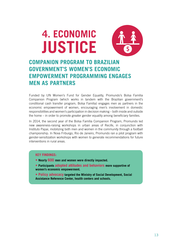# **4. ECONOMIC JUSTICE**

# **Companion Program to Brazilian Government's Women's Economic Empowerment Programming Engages Men as Partners**

Funded by UN Women's Fund for Gender Equality, Promundo's Bolsa Família Companion Program (which works in tandem with the Brazilian government's conditional cash transfer program, Bolsa Família) engages men as partners in the economic empowerment of women, encouraging men's involvement in domestic responsibilities and women's participation in decision making – both inside and outside the home – in order to promote greater gender equality among beneficiary families.

In 2014, the second year of the Bolsa Família Companion Program, Promundo led new awareness-raising workshops in urban areas of Recife, in conjunction with Instituto Papai, mobilizing both men and women in the community through a football championship. In Nova Friburgo, Rio de Janeiro, Promundo ran a pilot program with gender-sensitization workshops with women to generate recommendations for future interventions in rural areas.

## **KEY FINDINGS:**

- **Nearly 600 men and women were directly impacted.**
- **Participants adopted attitudes and behaviors more supportive of women's economic empowerment.**
- **Policy advocacy targeted the Ministry of Social Development, Social Assistance Reference Center, health centers and schools.**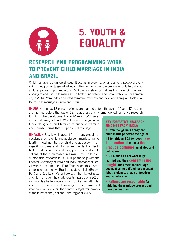

# **5. YOUTH & EQUALITY**

# **Research and Programming Work to Prevent Child Marriage in India and Brazil**

Child marriage is a universal issue. It occurs in every region and among people of every religion. As part of its global advocacy, Promundo became members of Girls Not Brides, a global partnership of more than 400 civil society organizations from over 60 countries working to address child marriage. To better understand and prevent this harmful practice, in 2014 Promundo conducted formative research and developed program tools related to child marriage in India and Brazil.

**INDIA** - In India, 18 percent of girls are married before the age of 15 and 47 percent are married before the age of 18. To address this, Promundo led formative research

to inform the development of *A More Equal Future*, a manual designed, with World Vision, to engage fathers, daughters, and families to critically examine and change norms that support child marriage.

**BRAZIL** - Brazil, while absent from many global discussions around child and adolescent marriage, ranks fourth in total numbers of child and adolescent marriage (both formal and informal) worldwide. In order to better understand the attitudes, practices, and implications of these marriages in Brazil, Promundo conducted field research in 2014 in partnership with the Federal University of Pará and Plan International Brazil, with support from the Ford Foundation; this research focused on the two Brazilian state capitals (Belem, Pará and Sao Luis, Maranhão) with the highest rates of child marriage. The study results (available in 2015) will provide a better understanding of Brazilian attitudes and practices around child marriage in both formal and informal unions – within the context of legal frameworks at the international, national, and regional levels.

## **KEY FORMATIVE RESEARCH FINDINGS FROM INDIA:**

**• Even though both dowry and child marriage before the age of 18 for girls and 21 for boys have been outlawed in India the practice continues, unabated and unhindered.**

**• Girls often do not want to get married and their consent is not sought. They feel that marriage dooms them to a life of hard manual labor, violence, a lack of freedom and no education.**

**• Fathers are responsible for initiating the marriage process and have the final say.**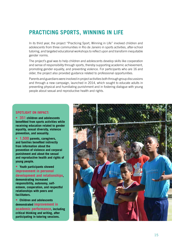# **Practicing Sports, Winning in Life**

In its third year, the project "Practicing Sport, Winning in Life" involved children and adolescents from three communities in Rio de Janeiro in sports activities, after-school tutoring, and targeted educational workshops to reflect upon and transform inequitable gender norms.

The project's goal was to help children and adolescents develop skills like cooperation and sense of responsibility through sports, thereby supporting academic achievement, promoting gender equality, and preventing violence. For participants who are 16 and older, the project also provided guidance related to professional opportunities.

Parents and guardians were involved in project activities both through group discussions and through a new campaign, launched in 2014, which sought to educate adults in preventing physical and humiliating punishment and in fostering dialogue with young people about sexual and reproductive health and rights.

## **Spotlight on Impact:**

**• 351 children and adolescents benefitted from sports activities while receiving education related to gender equality, sexual diversity, violence prevention, and sexuality.**

**• 1,500 parents, caregivers, and families benefited indirectly from information about the prevention of violence and corporal punishment and about the sexual and reproductive health and rights of young people.**

**• Youth participants showed improvement in personal development and relationships, demonstrating increased responsibility, autonomy, selfesteem, cooperation, and respectful relationships with peers and facilitators.**

**• Children and adolescents demonstrated improvement in academic performance, including critical thinking and writing, after participating in tutoring sessions.**

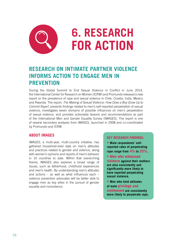

# **Research on Intimate Partner Violence Informs Action to Engage Men in Prevention**

During the Global Summit to End Sexual Violence in Conflict in June 2014, the International Center for Research on Women (ICRW) and Promundo released a new report on the prevalence of rape and sexual violence in Chile, Croatia, India, Mexico and Rwanda. The report, *The Making of Sexual Violence: How Does a Boy Grow Up to Commit Rape?*, presents findings related to men's self-reported perpetration of sexual violence, investigates seven domains of possible influences on men's perpetration of sexual violence, and provides actionable lessons and recommendations as part of the International Men and Gender Equality Survey (IMAGES). The report is one of several secondary analyses from IMAGES, launched in 2008 and co-coordinated by Promundo and ICRW.

# **About IMAGES**

IMAGES, a multi-year, multi-country initiative, has gathered household-level data on men's attitudes and practices related to gender and violence, along with women's opinions and reports of men's behavior in 10 countries to date. Within that overarching theme, IMAGES also explores a broad range of issues, such as fatherhood, childhood experiences and men's health. By understanding men's attitudes and actions – as well as what influences each – violence prevention advocates will be better able to engage men as key allies in the pursuit of gender equality and nonviolence.

## **KEY RESEARCH FINDINGS:**

**• Male respondents' selfreported rates of perpetrating rape range from 4% to 25%.**

**• Men who witnessed** 

**violence against their mothers are also consistently and significantly more likely to have reported perpetrating sexual violence.**

**• Men who hold attitudes of male privilege and entitlement are consistently more likely to perpetrate rape.**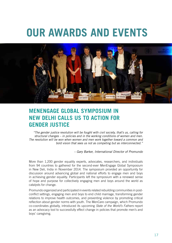# **OUR AWARDS AND EVENTS**



# **MenEngage Global Symposium in New Delhi Calls Us to Action for Gender Justice**

*"The gender justice revolution will be fought with civil society, that's us, calling for structural changes – in policies and in the working conditions of women and men. The revolution will be won when women and men work together toward a common and bold vision that sees us not as competing but as interconnected."*

*– Gary Barker, International Director of Promundo*

More than 1,200 gender equality experts, advocates, researchers, and individuals from 94 countries to gathered for the second-ever MenEngage Global Symposium in New Deli, India in November 2014. The symposium provided an opportunity for discussion around advancing global and national efforts to engage men and boys in achieving gender equality. Participants left the symposium with a renewed sense of hope and purpose for collectively engaging men and boys around the world as catalysts for change.

Promundo organized and participated in events related rebuilding communities in postconflict settings, engaging men and boys to end child marriage, transforming gender relations to improve health outcomes, and preventing violence by promoting critical reflection about gender norms with youth. The MenCare campaign, which Promundo co-coordinates globally, introduced its upcoming *State of the World's Fathers* report as an advocacy tool to successfully effect change in policies that promote men's and boys' caregiving.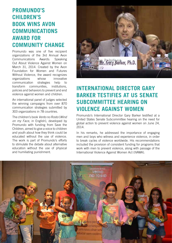# **Promundo's Children's Book Wins Avon Communications Award for Community Change**

Promundo was one of five recipient organizations of the 3rd Annual Avon Communications Awards: Speaking Out About Violence Against Women on March 31, 2014. Created by the Avon Foundation for Women and Futures Without Violence, the award recognizes organizations whose innovative communication strategies help to transform communities, institutions, policies and behaviors to prevent and end violence against women and children.

An international panel of judges selected the winning campaigns from over 870 communication strategies submitted by 303 organizations in 78 countries.

The children's book *Vento no Rosto* (*Wind on my Face*, in English), developed by Promundo with funding from Save the Children, aimed to give a voice to children and youth about how they think could be educated without the use of violence. The work is part of Promundo's efforts to stimulate the debate about alternative education without the use of physical and humiliating punishment.



# **International Director Gary Barker Testifies at US Senate Subcommittee Hearing on Violence Against Women**

Promundo's International Director Gary Barker testified at a United States Senate Subcommittee hearing on the need for global action to prevent violence against women on June 24, 2014.

In his remarks, he addressed the importance of engaging men and boys who witness and experience violence, in order to break cycles of violence worldwide. His recommendations included the provision of consistent funding for programs that work with men to prevent violence, along with passage of the International Violence Against Women Act (IVAWA).

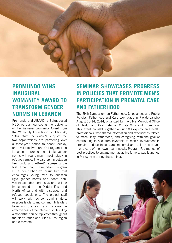

# **Promundo Wins Inaugural Womanity Award to Transform Gender Norms in Lebanon**

Promundo and ABAAD, a Beirut-based NGO, were announced as the recipients of the first-ever Womanity Award from the Womanity Foundation on May 20, 2014. With the award's support, the two organizations are partnering over a three-year period to adapt, deploy, and evaluate Promundo's Program H in Lebanon to promote equitable gender norms with young men – most notably in refugee camps. The partnership between Promundo and ABAAD represents the first time that Promundo's Program H, a comprehensive curriculum that encourages young men to question rigid gender norms and adopt nonviolent attitudes and behaviors, will be implemented in the Middle East and North Africa and with displaced and refugee populations. The project staff will work with school administrators, religious leaders, and community leaders to expand the reach and increase the effectiveness of the intervention, building a model that can be replicated throughout the North Africa and Middle East region and elsewhere.

# **Seminar Showcases Progress in Policies that Promote Men's Participation in Prenatal Care and Fatherhood**

The Sixth Symposium on Fatherhood, Singularities and Public Policies: Fatherhood and Care took place in Rio de Janeiro August 13-14, 2014, organized by the city's Municipal Office of Health and Civil Defense, Comitê Vida and Promundo. This event brought together about 200 experts and health professionals, who shared information and experiences related to masculinity, fatherhood, and caregiving, with the goal of contributing to a culture favorable to men's involvement in prenatal and postnatal care, maternal and child health and men's care of their own health needs. Program P, a manual of best practices to engage men as active fathers, was launched in Portuguese during the seminar.

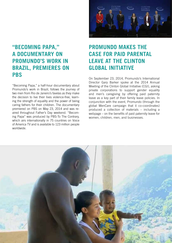# **"Becoming Papa," a Documentary on Promundo's Work in Brazil, Premieres on PBS**

"Becoming Papa," a half-hour documentary about Promundo's work in Brazil, follows the journey of two men from Rio de Janeiro's favelas as they make the decision to live their lives violence-free, learning the strength of equality and the power of being caring fathers for their children. The documentary premiered on PBS on May 23, 2014 and was reaired throughout Father's Day weekend. "Becoming Papa" was produced by PBS-To The Contrary, which airs internationally in 75 countries on Voice of America TV and is available to 123 million people worldwide.



# **Promundo Makes the Case for Paid Parental Leave at the Clinton Global Initiative**

On September 23, 2014, Promundo's International Director Gary Barker spoke at the 2014 Annual Meeting of the Clinton Global Initiative (CGI), asking private corporations to support gender equality and men's caregiving by offering paid paternity leave as a key part of their family leave policies. In conjunction with the event, Promundo (through the global MenCare campaign that it co-coordinates) produced a collection of materials – including a webpage – on the benefits of paid paternity leave for women, children, men, and businesses.

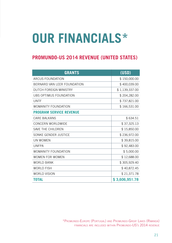# **OUR FINANCIALS\***

# **Promundo-US 2014 Revenue (United States)**

| <b>GRANTS</b>                  | (USD)          |
|--------------------------------|----------------|
| <b>ARCUS FOUNDATION</b>        | \$150,000.00   |
| BERNARD VAN LEER FOUNDATION    | \$400,039.00   |
| DUTCH FOREIGN MINISTRY         | \$1,139,337.00 |
| UBS OPTIMUS FOUNDATION         | \$204,282.00   |
| <b>UNTF</b>                    | \$737,821.00   |
| <b>WOMANITY FOUNDATION</b>     | \$166,531.00   |
| <b>PROGRAM SERVICE REVENUE</b> |                |
| <b>CARE BALKANS</b>            | \$634.51       |
| <b>CONCERN WORLDWIDE</b>       | \$37,325.13    |
| SAVE THE CHILDREN              | \$15,850.00    |
| SONKE GENDER JUSTICE           | \$236,972.00   |
| <b>UN WOMEN</b>                | \$39,815.00    |
| <b>UNFPA</b>                   | \$92,483.00    |
| <b>WOMANITY FOUNDATION</b>     | \$5,000.00     |
| <b>WOMEN FOR WOMEN</b>         | \$12,688.00    |
| <b>WORLD BANK</b>              | \$305,929.40   |
| <b>WORLD FISH</b>              | \$40,872.45    |
| <b>WORLD VISION</b>            | \$21,371.78    |
| <b>TOTAL</b>                   | \$3,606,951.78 |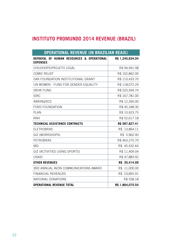# **Instituto Promundo 2014 Revenue (Brazil)**

| <b>OPERATIONAL REVENUE (IN BRAZILIAN REAIS)</b>                            |                  |
|----------------------------------------------------------------------------|------------------|
| DEFRAYAL OF<br><b>HUMAN RESOURCES &amp; OPERATIONAL</b><br><b>EXPENSES</b> | R\$ 1,240,834.04 |
| CHILDHOPE/PROJETO LEGAL                                                    | R\$94,941.08     |
| <b>COMIC RELIEF</b>                                                        | R\$ 102,862.00   |
| OAK FOUNDATION INSTITUTIONAL GRANT                                         | R\$ 110,433.70   |
| UN WOMEN - FUND FOR GENDER EQUALITY                                        | R\$118,072.29    |
| <b>SRHR FUND</b>                                                           | R\$525,594.74    |
| <b>IDRC</b>                                                                | R\$167,781.00    |
| ABRINQ/SCS                                                                 | R\$12,260.00     |
| <b>FORD FOUNDATION</b>                                                     | R\$45,348.30     |
| <b>PLAN</b>                                                                | R\$ 10,923.75    |
| <b>KNH</b>                                                                 | R\$ 52,617.18    |
| <b>TECHNICAL ASSISTANCE CONTRACTS</b>                                      | R\$ 587,827.41   |
| <b>ELETROBRAS</b>                                                          | R\$ 13,864.11    |
| GIZ (WORKSHOPS)                                                            | R\$ 5,962.00     |
| <b>PETROBRAS</b>                                                           | R\$463,275.70    |
| <b>IBD</b>                                                                 | R\$ 45,432.64    |
| GIZ (ACTIVITIES USING SPORTS)                                              | R\$ 11,409.04    |
| <b>USAID</b>                                                               | R\$47,883.92     |
| <b>OTHER REVENUES</b>                                                      | R\$ 35,414.09    |
| 3RD ANNUAL AVON COMMUNICATIONS AWARD                                       | 11,000.00<br>R\$ |
| <b>FINANCIAL REVENUES</b>                                                  | R\$ 23,855.91    |
| NATIONAL DONATIONS                                                         | R\$ 558.18       |
| <b>OPERATIONAL REVENUE TOTAL</b>                                           | R\$ 1,864,075.54 |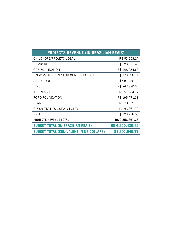| <b>PROJECTS REVENUE (IN BRAZILIAN REAIS)</b>   |                  |
|------------------------------------------------|------------------|
| CHILDHOPE/PROJETO LEGAL                        | R\$ 53,053.27    |
| <b>COMIC RELIEF</b>                            | R\$ 223,331.43   |
| <b>OAK FOUNDATION</b>                          | R\$108,934.60    |
| UN WOMEN - FUND FOR GENDER EQUALITY            | R\$179,098.71    |
| <b>SRHR FUND</b>                               | R\$981,655.10    |
| <b>IDRC</b>                                    | R\$ 267,980.52   |
| ABRINQ/SCS                                     | R\$ 51,064.72    |
| <b>FORD FOUNDATION</b>                         | R\$ 195,771.18   |
| <b>PLAN</b>                                    | R\$78,832.15     |
| GIZ (ACTIVITIES USING SPORT)                   | R\$93,361.70     |
| KNH                                            | R\$123,278.00    |
| <b>PROJECTS REVENUE TOTAL</b>                  | R\$ 2,356,361.38 |
| <b>BUDGET TOTAL (IN BRAZILIAN REAIS)</b>       | R\$4,220,436.92  |
| <b>BUDGET TOTAL (EQUIVALENT IN US DOLLARS)</b> | \$1,207,945.77   |